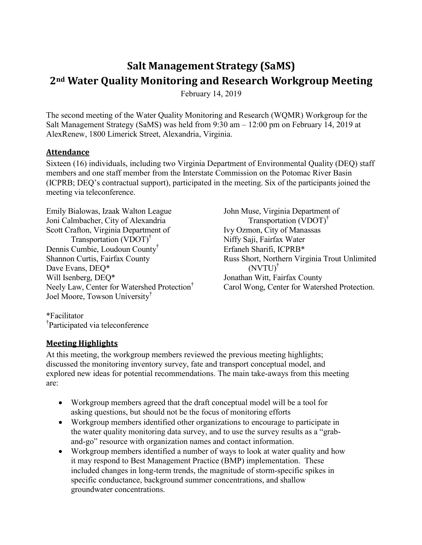# **Salt Management Strategy (SaMS) 2nd Water Quality Monitoring and Research Workgroup Meeting**

February 14, 2019

The second meeting of the Water Quality Monitoring and Research (WQMR) Workgroup for the Salt Management Strategy (SaMS) was held from 9:30 am – 12:00 pm on February 14, 2019 at AlexRenew, 1800 Limerick Street, Alexandria, Virginia.

#### **Attendance**

Sixteen (16) individuals, including two Virginia Department of Environmental Quality (DEQ) staff members and one staff member from the Interstate Commission on the Potomac River Basin (ICPRB; DEQ's contractual support), participated in the meeting. Six of the participants joined the meeting via teleconference.

Emily Bialowas, Izaak Walton League Joni Calmbacher, City of Alexandria Scott Crafton, Virginia Department of Transportation (VDOT)† Dennis Cumbie, Loudoun County† Shannon Curtis, Fairfax County Dave Evans, DEQ\* Will Isenberg, DEQ\* Neely Law, Center for Watershed Protection† Joel Moore, Towson University†

John Muse, Virginia Department of Transportation (VDOT)† Ivy Ozmon, City of Manassas Niffy Saji, Fairfax Water Erfaneh Sharifi, ICPRB\* Russ Short, Northern Virginia Trout Unlimited (NVTU) † Jonathan Witt, Fairfax County Carol Wong, Center for Watershed Protection.

\*Facilitator † Participated via teleconference

#### **Meeting Highlights**

At this meeting, the workgroup members reviewed the previous meeting highlights; discussed the monitoring inventory survey, fate and transport conceptual model, and explored new ideas for potential recommendations. The main take-aways from this meeting are:

- Workgroup members agreed that the draft conceptual model will be a tool for asking questions, but should not be the focus of monitoring efforts
- Workgroup members identified other organizations to encourage to participate in the water quality monitoring data survey, and to use the survey results as a "graband-go" resource with organization names and contact information.
- Workgroup members identified a number of ways to look at water quality and how it may respond to Best Management Practice (BMP) implementation. These included changes in long-term trends, the magnitude of storm-specific spikes in specific conductance, background summer concentrations, and shallow groundwater concentrations.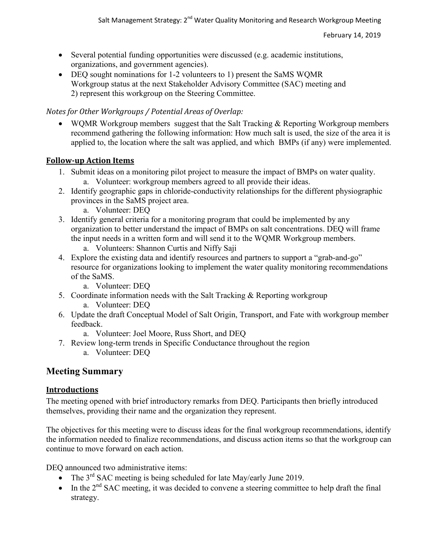- Several potential funding opportunities were discussed (e.g. academic institutions, organizations, and government agencies).
- DEQ sought nominations for 1-2 volunteers to 1) present the SaMS WQMR Workgroup status at the next Stakeholder Advisory Committee (SAC) meeting and 2) represent this workgroup on the Steering Committee.

# *Notes for Other Workgroups / Potential Areas of Overlap:*

 WQMR Workgroup members suggest that the Salt Tracking & Reporting Workgroup members recommend gathering the following information: How much salt is used, the size of the area it is applied to, the location where the salt was applied, and which BMPs (if any) were implemented.

## **Follow-up Action Items**

- 1. Submit ideas on a monitoring pilot project to measure the impact of BMPs on water quality. a. Volunteer: workgroup members agreed to all provide their ideas.
- 2. Identify geographic gaps in chloride-conductivity relationships for the different physiographic provinces in the SaMS project area.
	- a. Volunteer: DEQ
- 3. Identify general criteria for a monitoring program that could be implemented by any organization to better understand the impact of BMPs on salt concentrations. DEQ will frame the input needs in a written form and will send it to the WQMR Workgroup members.
	- a. Volunteers: Shannon Curtis and Niffy Saji
- 4. Explore the existing data and identify resources and partners to support a "grab-and-go" resource for organizations looking to implement the water quality monitoring recommendations of the SaMS.
	- a. Volunteer: DEQ
- 5. Coordinate information needs with the Salt Tracking & Reporting workgroup a. Volunteer: DEQ
- 6. Update the draft Conceptual Model of Salt Origin, Transport, and Fate with workgroup member feedback.
	- a. Volunteer: Joel Moore, Russ Short, and DEQ
- 7. Review long-term trends in Specific Conductance throughout the region
	- a. Volunteer: DEQ

# **Meeting Summary**

# **Introductions**

The meeting opened with brief introductory remarks from DEQ. Participants then briefly introduced themselves, providing their name and the organization they represent.

The objectives for this meeting were to discuss ideas for the final workgroup recommendations, identify the information needed to finalize recommendations, and discuss action items so that the workgroup can continue to move forward on each action.

DEQ announced two administrative items:

- The  $3<sup>rd</sup>$  SAC meeting is being scheduled for late May/early June 2019.
- $\bullet$  In the  $2<sup>nd</sup>$  SAC meeting, it was decided to convene a steering committee to help draft the final strategy.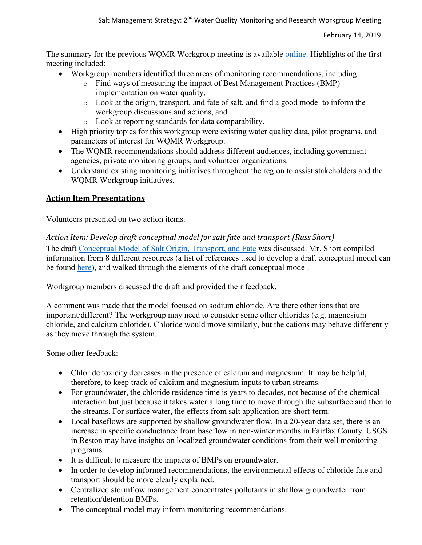The summary for the previous WQMR Workgroup meeting is available **online**. Highlights of the first meeting included:

- Workgroup members identified three areas of monitoring recommendations, including:
	- o Find ways of measuring the impact of Best Management Practices (BMP) implementation on water quality,
	- o Look at the origin, transport, and fate of salt, and find a good model to inform the workgroup discussions and actions, and
	- o Look at reporting standards for data comparability.
- High priority topics for this workgroup were existing water quality data, pilot programs, and parameters of interest for WQMR Workgroup.
- The WQMR recommendations should address different audiences, including government agencies, private monitoring groups, and volunteer organizations.
- Understand existing monitoring initiatives throughout the region to assist stakeholders and the WQMR Workgroup initiatives.

## **Action Item Presentations**

Volunteers presented on two action items.

#### *Action Item: Develop draft conceptual model for salt fate and transport (Russ Short)*

The draft [Conceptual Model of Salt Origin, Transport, and Fate](https://www.deq.virginia.gov/Portals/0/DEQ/Water/TMDL/SaMS/MeetingMaterials/WMRwg/Meeting2/SaMS_IP_WQMR_ActionItem-1_DraftConceptualModel_021419.xlsx) was discussed. Mr. Short compiled information from 8 different resources (a list of references used to develop a draft conceptual model can be found [here\)](https://www.deq.virginia.gov/Portals/0/DEQ/Water/TMDL/SaMS/MeetingMaterials/WMRwg/Meeting2/SaMS_IP_WQMR_ActionItem-1_ModelReferences_021419.pdf), and walked through the elements of the draft conceptual model.

Workgroup members discussed the draft and provided their feedback.

A comment was made that the model focused on sodium chloride. Are there other ions that are important/different? The workgroup may need to consider some other chlorides (e.g. magnesium chloride, and calcium chloride). Chloride would move similarly, but the cations may behave differently as they move through the system.

Some other feedback:

- Chloride toxicity decreases in the presence of calcium and magnesium. It may be helpful, therefore, to keep track of calcium and magnesium inputs to urban streams.
- For groundwater, the chloride residence time is years to decades, not because of the chemical interaction but just because it takes water a long time to move through the subsurface and then to the streams. For surface water, the effects from salt application are short-term.
- Local baseflows are supported by shallow groundwater flow. In a 20-year data set, there is an increase in specific conductance from baseflow in non-winter months in Fairfax County. USGS in Reston may have insights on localized groundwater conditions from their well monitoring programs.
- It is difficult to measure the impacts of BMPs on groundwater.
- In order to develop informed recommendations, the environmental effects of chloride fate and transport should be more clearly explained.
- Centralized stormflow management concentrates pollutants in shallow groundwater from retention/detention BMPs.
- The conceptual model may inform monitoring recommendations.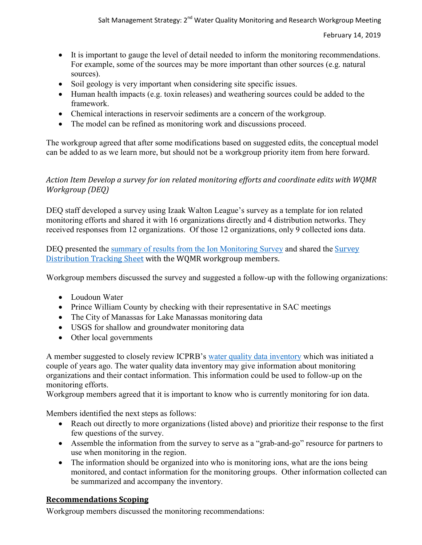- It is important to gauge the level of detail needed to inform the monitoring recommendations. For example, some of the sources may be more important than other sources (e.g. natural sources).
- Soil geology is very important when considering site specific issues.
- Human health impacts (e.g. toxin releases) and weathering sources could be added to the framework.
- Chemical interactions in reservoir sediments are a concern of the workgroup.
- The model can be refined as monitoring work and discussions proceed.

The workgroup agreed that after some modifications based on suggested edits, the conceptual model can be added to as we learn more, but should not be a workgroup priority item from here forward.

#### *Action Item Develop a survey for ion related monitoring efforts and coordinate edits with WQMR Workgroup (DEQ)*

DEQ staff developed a survey using Izaak Walton League's survey as a template for ion related monitoring efforts and shared it with 16 organizations directly and 4 distribution networks. They received responses from 12 organizations. Of those 12 organizations, only 9 collected ions data.

DEQ presented the [summary of results from](https://www.deq.virginia.gov/Portals/0/DEQ/Water/TMDL/SaMS/MeetingMaterials/WMRwg/Meeting2/SaMS_IP_WQMR_IonMonSurveySummary_021419.pdf) the Ion Monitoring [Survey](https://www.deq.virginia.gov/Portals/0/DEQ/Water/TMDL/SaMS/MeetingMaterials/WMRwg/Meeting2/SaMS_IP_WQMR_IonsMonSurveyTracking_012519.xlsx) and shared the Survey [Distribution Tracking Sheet](https://www.deq.virginia.gov/Portals/0/DEQ/Water/TMDL/SaMS/MeetingMaterials/WMRwg/Meeting2/SaMS_IP_WQMR_IonsMonSurveyTracking_012519.xlsx) with the WQMR workgroup members.

Workgroup members discussed the survey and suggested a follow-up with the following organizations:

- Loudoun Water
- Prince William County by checking with their representative in SAC meetings
- The City of Manassas for Lake Manassas monitoring data
- USGS for shallow and groundwater monitoring data
- Other local governments

A member suggested to closely review ICPRB's [water quality data inventory](https://www.potomacriver.org/focus-areas/water-quality/potomac-basin-water-quality-data-inventory/) which was initiated a couple of years ago. The water quality data inventory may give information about monitoring organizations and their contact information. This information could be used to follow-up on the monitoring efforts.

Workgroup members agreed that it is important to know who is currently monitoring for ion data.

Members identified the next steps as follows:

- Reach out directly to more organizations (listed above) and prioritize their response to the first few questions of the survey.
- Assemble the information from the survey to serve as a "grab-and-go" resource for partners to use when monitoring in the region.
- The information should be organized into who is monitoring ions, what are the ions being monitored, and contact information for the monitoring groups. Other information collected can be summarized and accompany the inventory.

## **Recommendations Scoping**

Workgroup members discussed the monitoring recommendations: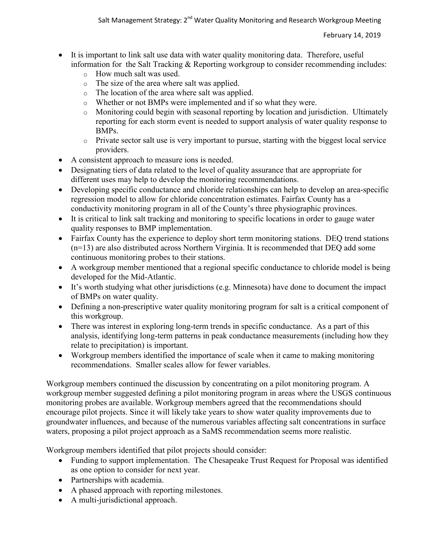- It is important to link salt use data with water quality monitoring data. Therefore, useful information for the Salt Tracking & Reporting workgroup to consider recommending includes:
	- o How much salt was used.
	- o The size of the area where salt was applied.
	- o The location of the area where salt was applied.
	- o Whether or not BMPs were implemented and if so what they were.
	- o Monitoring could begin with seasonal reporting by location and jurisdiction. Ultimately reporting for each storm event is needed to support analysis of water quality response to BMPs.
	- o Private sector salt use is very important to pursue, starting with the biggest local service providers.
- A consistent approach to measure ions is needed.
- Designating tiers of data related to the level of quality assurance that are appropriate for different uses may help to develop the monitoring recommendations.
- Developing specific conductance and chloride relationships can help to develop an area-specific regression model to allow for chloride concentration estimates. Fairfax County has a conductivity monitoring program in all of the County's three physiographic provinces.
- It is critical to link salt tracking and monitoring to specific locations in order to gauge water quality responses to BMP implementation.
- Fairfax County has the experience to deploy short term monitoring stations. DEQ trend stations (n=13) are also distributed across Northern Virginia. It is recommended that DEQ add some continuous monitoring probes to their stations.
- A workgroup member mentioned that a regional specific conductance to chloride model is being developed for the Mid-Atlantic.
- It's worth studying what other jurisdictions (e.g. Minnesota) have done to document the impact of BMPs on water quality.
- Defining a non-prescriptive water quality monitoring program for salt is a critical component of this workgroup.
- There was interest in exploring long-term trends in specific conductance. As a part of this analysis, identifying long-term patterns in peak conductance measurements (including how they relate to precipitation) is important.
- Workgroup members identified the importance of scale when it came to making monitoring recommendations. Smaller scales allow for fewer variables.

Workgroup members continued the discussion by concentrating on a pilot monitoring program. A workgroup member suggested defining a pilot monitoring program in areas where the USGS continuous monitoring probes are available. Workgroup members agreed that the recommendations should encourage pilot projects. Since it will likely take years to show water quality improvements due to groundwater influences, and because of the numerous variables affecting salt concentrations in surface waters, proposing a pilot project approach as a SaMS recommendation seems more realistic.

Workgroup members identified that pilot projects should consider:

- Funding to support implementation. The Chesapeake Trust Request for Proposal was identified as one option to consider for next year.
- Partnerships with academia.
- A phased approach with reporting milestones.
- A multi-jurisdictional approach.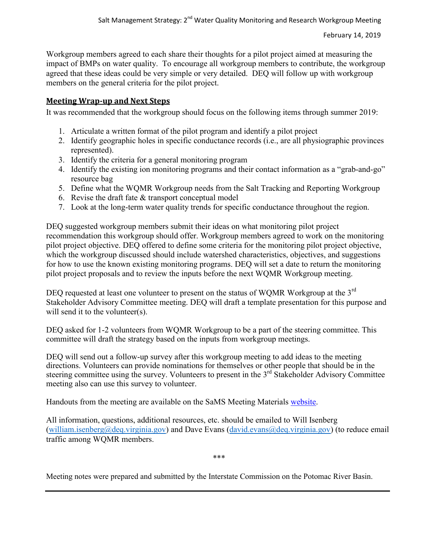Workgroup members agreed to each share their thoughts for a pilot project aimed at measuring the impact of BMPs on water quality. To encourage all workgroup members to contribute, the workgroup agreed that these ideas could be very simple or very detailed. DEQ will follow up with workgroup members on the general criteria for the pilot project.

#### **Meeting Wrap-up and Next Steps**

It was recommended that the workgroup should focus on the following items through summer 2019:

- 1. Articulate a written format of the pilot program and identify a pilot project
- 2. Identify geographic holes in specific conductance records (i.e., are all physiographic provinces represented).
- 3. Identify the criteria for a general monitoring program
- 4. Identify the existing ion monitoring programs and their contact information as a "grab-and-go" resource bag
- 5. Define what the WQMR Workgroup needs from the Salt Tracking and Reporting Workgroup
- 6. Revise the draft fate & transport conceptual model
- 7. Look at the long-term water quality trends for specific conductance throughout the region.

DEQ suggested workgroup members submit their ideas on what monitoring pilot project recommendation this workgroup should offer. Workgroup members agreed to work on the monitoring pilot project objective. DEQ offered to define some criteria for the monitoring pilot project objective, which the workgroup discussed should include watershed characteristics, objectives, and suggestions for how to use the known existing monitoring programs. DEQ will set a date to return the monitoring pilot project proposals and to review the inputs before the next WQMR Workgroup meeting.

DEQ requested at least one volunteer to present on the status of WQMR Workgroup at the 3<sup>rd</sup> Stakeholder Advisory Committee meeting. DEQ will draft a template presentation for this purpose and will send it to the volunteer(s).

DEQ asked for 1-2 volunteers from WQMR Workgroup to be a part of the steering committee. This committee will draft the strategy based on the inputs from workgroup meetings.

DEQ will send out a follow-up survey after this workgroup meeting to add ideas to the meeting directions. Volunteers can provide nominations for themselves or other people that should be in the steering committee using the survey. Volunteers to present in the 3<sup>rd</sup> Stakeholder Advisory Committee meeting also can use this survey to volunteer.

Handouts from the meeting are available on the SaMS Meeting Materials [website.](https://www.deq.virginia.gov/SaMS/MeetingMaterials.aspx)

All information, questions, additional resources, etc. should be emailed to Will Isenberg [\(william.isenberg@deq.virginia.gov\)](mailto:william.isenberg@deq.virginia.gov) and Dave Evans (david.evans@deq.virginia.gov) (to reduce email traffic among WQMR members.

\*\*\*

Meeting notes were prepared and submitted by the Interstate Commission on the Potomac River Basin.